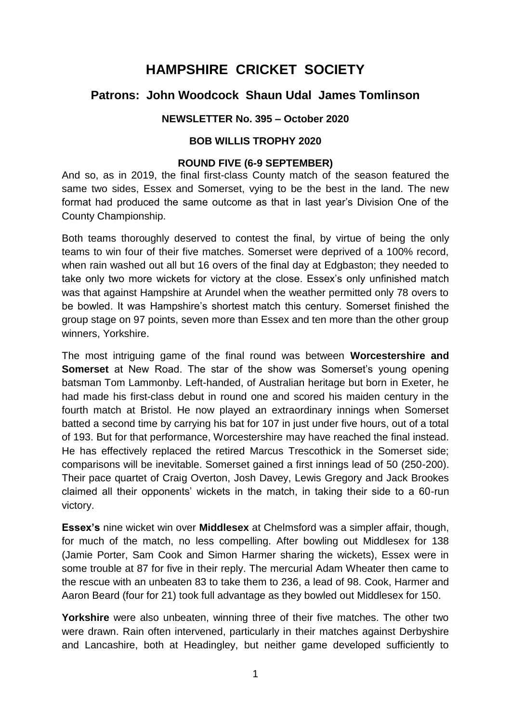# **HAMPSHIRE CRICKET SOCIETY**

# **Patrons: John Woodcock Shaun Udal James Tomlinson**

# **NEWSLETTER No. 395 – October 2020**

#### **BOB WILLIS TROPHY 2020**

#### **ROUND FIVE (6-9 SEPTEMBER)**

And so, as in 2019, the final first-class County match of the season featured the same two sides, Essex and Somerset, vying to be the best in the land. The new format had produced the same outcome as that in last year's Division One of the County Championship.

Both teams thoroughly deserved to contest the final, by virtue of being the only teams to win four of their five matches. Somerset were deprived of a 100% record, when rain washed out all but 16 overs of the final day at Edgbaston; they needed to take only two more wickets for victory at the close. Essex's only unfinished match was that against Hampshire at Arundel when the weather permitted only 78 overs to be bowled. It was Hampshire's shortest match this century. Somerset finished the group stage on 97 points, seven more than Essex and ten more than the other group winners, Yorkshire.

The most intriguing game of the final round was between **Worcestershire and Somerset** at New Road. The star of the show was Somerset's young opening batsman Tom Lammonby. Left-handed, of Australian heritage but born in Exeter, he had made his first-class debut in round one and scored his maiden century in the fourth match at Bristol. He now played an extraordinary innings when Somerset batted a second time by carrying his bat for 107 in just under five hours, out of a total of 193. But for that performance, Worcestershire may have reached the final instead. He has effectively replaced the retired Marcus Trescothick in the Somerset side; comparisons will be inevitable. Somerset gained a first innings lead of 50 (250-200). Their pace quartet of Craig Overton, Josh Davey, Lewis Gregory and Jack Brookes claimed all their opponents' wickets in the match, in taking their side to a 60-run victory.

**Essex's** nine wicket win over **Middlesex** at Chelmsford was a simpler affair, though, for much of the match, no less compelling. After bowling out Middlesex for 138 (Jamie Porter, Sam Cook and Simon Harmer sharing the wickets), Essex were in some trouble at 87 for five in their reply. The mercurial Adam Wheater then came to the rescue with an unbeaten 83 to take them to 236, a lead of 98. Cook, Harmer and Aaron Beard (four for 21) took full advantage as they bowled out Middlesex for 150.

**Yorkshire** were also unbeaten, winning three of their five matches. The other two were drawn. Rain often intervened, particularly in their matches against Derbyshire and Lancashire, both at Headingley, but neither game developed sufficiently to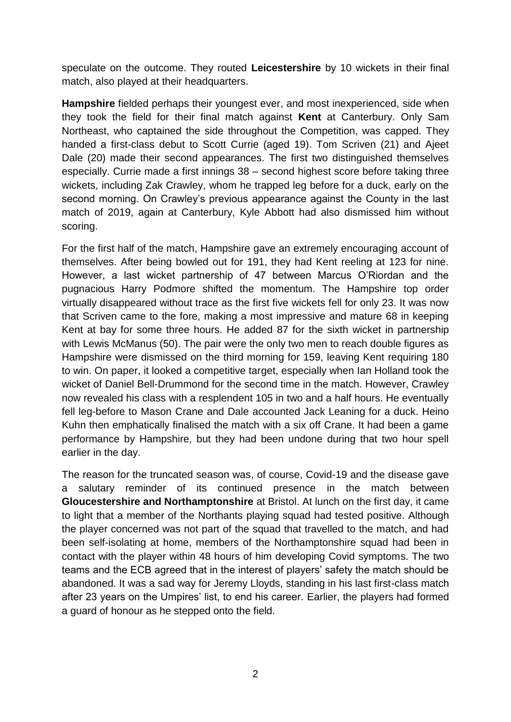speculate on the outcome. They routed **Leicestershire** by 10 wickets in their final match, also played at their headquarters.

**Hampshire** fielded perhaps their youngest ever, and most inexperienced, side when they took the field for their final match against **Kent** at Canterbury. Only Sam Northeast, who captained the side throughout the Competition, was capped. They handed a first-class debut to Scott Currie (aged 19). Tom Scriven (21) and Ajeet Dale (20) made their second appearances. The first two distinguished themselves especially. Currie made a first innings 38 – second highest score before taking three wickets, including Zak Crawley, whom he trapped leg before for a duck, early on the second morning. On Crawley's previous appearance against the County in the last match of 2019, again at Canterbury, Kyle Abbott had also dismissed him without scoring.

For the first half of the match, Hampshire gave an extremely encouraging account of themselves. After being bowled out for 191, they had Kent reeling at 123 for nine. However, a last wicket partnership of 47 between Marcus O'Riordan and the pugnacious Harry Podmore shifted the momentum. The Hampshire top order virtually disappeared without trace as the first five wickets fell for only 23. It was now that Scriven came to the fore, making a most impressive and mature 68 in keeping Kent at bay for some three hours. He added 87 for the sixth wicket in partnership with Lewis McManus (50). The pair were the only two men to reach double figures as Hampshire were dismissed on the third morning for 159, leaving Kent requiring 180 to win. On paper, it looked a competitive target, especially when Ian Holland took the wicket of Daniel Bell-Drummond for the second time in the match. However, Crawley now revealed his class with a resplendent 105 in two and a half hours. He eventually fell leg-before to Mason Crane and Dale accounted Jack Leaning for a duck. Heino Kuhn then emphatically finalised the match with a six off Crane. It had been a game performance by Hampshire, but they had been undone during that two hour spell earlier in the day.

The reason for the truncated season was, of course, Covid-19 and the disease gave a salutary reminder of its continued presence in the match between **Gloucestershire and Northamptonshire** at Bristol. At lunch on the first day, it came to light that a member of the Northants playing squad had tested positive. Although the player concerned was not part of the squad that travelled to the match, and had been self-isolating at home, members of the Northamptonshire squad had been in contact with the player within 48 hours of him developing Covid symptoms. The two teams and the ECB agreed that in the interest of players' safety the match should be abandoned. It was a sad way for Jeremy Lloyds, standing in his last first-class match after 23 years on the Umpires' list, to end his career. Earlier, the players had formed a guard of honour as he stepped onto the field.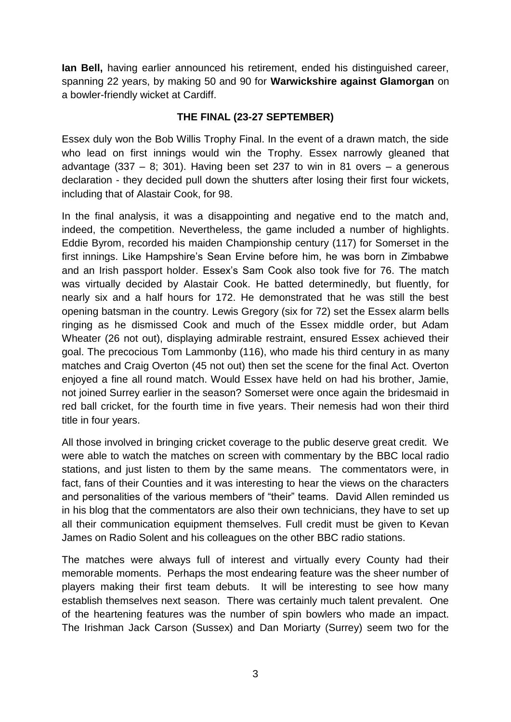**Ian Bell,** having earlier announced his retirement, ended his distinguished career, spanning 22 years, by making 50 and 90 for **Warwickshire against Glamorgan** on a bowler-friendly wicket at Cardiff.

# **THE FINAL (23-27 SEPTEMBER)**

Essex duly won the Bob Willis Trophy Final. In the event of a drawn match, the side who lead on first innings would win the Trophy. Essex narrowly gleaned that advantage (337 – 8; 301). Having been set 237 to win in 81 overs – a generous declaration - they decided pull down the shutters after losing their first four wickets, including that of Alastair Cook, for 98.

In the final analysis, it was a disappointing and negative end to the match and, indeed, the competition. Nevertheless, the game included a number of highlights. Eddie Byrom, recorded his maiden Championship century (117) for Somerset in the first innings. Like Hampshire's Sean Ervine before him, he was born in Zimbabwe and an Irish passport holder. Essex's Sam Cook also took five for 76. The match was virtually decided by Alastair Cook. He batted determinedly, but fluently, for nearly six and a half hours for 172. He demonstrated that he was still the best opening batsman in the country. Lewis Gregory (six for 72) set the Essex alarm bells ringing as he dismissed Cook and much of the Essex middle order, but Adam Wheater (26 not out), displaying admirable restraint, ensured Essex achieved their goal. The precocious Tom Lammonby (116), who made his third century in as many matches and Craig Overton (45 not out) then set the scene for the final Act. Overton enjoyed a fine all round match. Would Essex have held on had his brother, Jamie, not joined Surrey earlier in the season? Somerset were once again the bridesmaid in red ball cricket, for the fourth time in five years. Their nemesis had won their third title in four years.

All those involved in bringing cricket coverage to the public deserve great credit. We were able to watch the matches on screen with commentary by the BBC local radio stations, and just listen to them by the same means. The commentators were, in fact, fans of their Counties and it was interesting to hear the views on the characters and personalities of the various members of "their" teams. David Allen reminded us in his blog that the commentators are also their own technicians, they have to set up all their communication equipment themselves. Full credit must be given to Kevan James on Radio Solent and his colleagues on the other BBC radio stations.

The matches were always full of interest and virtually every County had their memorable moments. Perhaps the most endearing feature was the sheer number of players making their first team debuts. It will be interesting to see how many establish themselves next season. There was certainly much talent prevalent. One of the heartening features was the number of spin bowlers who made an impact. The Irishman Jack Carson (Sussex) and Dan Moriarty (Surrey) seem two for the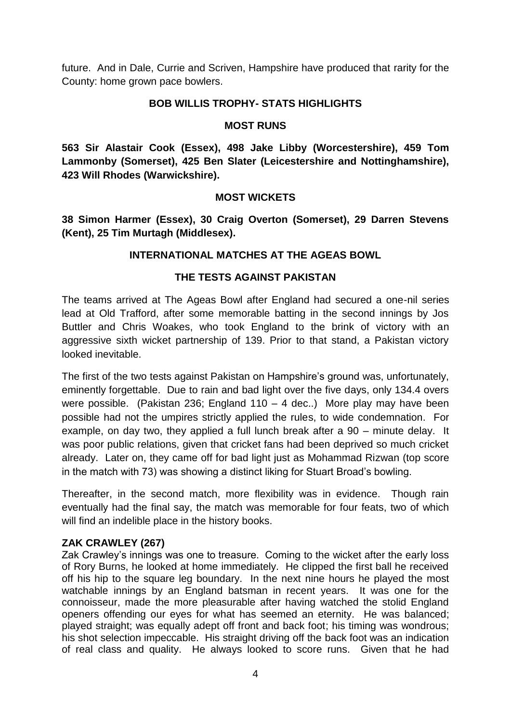future. And in Dale, Currie and Scriven, Hampshire have produced that rarity for the County: home grown pace bowlers.

#### **BOB WILLIS TROPHY- STATS HIGHLIGHTS**

#### **MOST RUNS**

**563 Sir Alastair Cook (Essex), 498 Jake Libby (Worcestershire), 459 Tom Lammonby (Somerset), 425 Ben Slater (Leicestershire and Nottinghamshire), 423 Will Rhodes (Warwickshire).** 

# **MOST WICKETS**

**38 Simon Harmer (Essex), 30 Craig Overton (Somerset), 29 Darren Stevens (Kent), 25 Tim Murtagh (Middlesex).**

#### **INTERNATIONAL MATCHES AT THE AGEAS BOWL**

#### **THE TESTS AGAINST PAKISTAN**

The teams arrived at The Ageas Bowl after England had secured a one-nil series lead at Old Trafford, after some memorable batting in the second innings by Jos Buttler and Chris Woakes, who took England to the brink of victory with an aggressive sixth wicket partnership of 139. Prior to that stand, a Pakistan victory looked inevitable.

The first of the two tests against Pakistan on Hampshire's ground was, unfortunately, eminently forgettable. Due to rain and bad light over the five days, only 134.4 overs were possible. (Pakistan 236; England 110 – 4 dec..) More play may have been possible had not the umpires strictly applied the rules, to wide condemnation. For example, on day two, they applied a full lunch break after a 90 – minute delay. It was poor public relations, given that cricket fans had been deprived so much cricket already. Later on, they came off for bad light just as Mohammad Rizwan (top score in the match with 73) was showing a distinct liking for Stuart Broad's bowling.

Thereafter, in the second match, more flexibility was in evidence. Though rain eventually had the final say, the match was memorable for four feats, two of which will find an indelible place in the history books.

#### **ZAK CRAWLEY (267)**

Zak Crawley's innings was one to treasure. Coming to the wicket after the early loss of Rory Burns, he looked at home immediately. He clipped the first ball he received off his hip to the square leg boundary. In the next nine hours he played the most watchable innings by an England batsman in recent years. It was one for the connoisseur, made the more pleasurable after having watched the stolid England openers offending our eyes for what has seemed an eternity. He was balanced; played straight; was equally adept off front and back foot; his timing was wondrous; his shot selection impeccable. His straight driving off the back foot was an indication of real class and quality. He always looked to score runs. Given that he had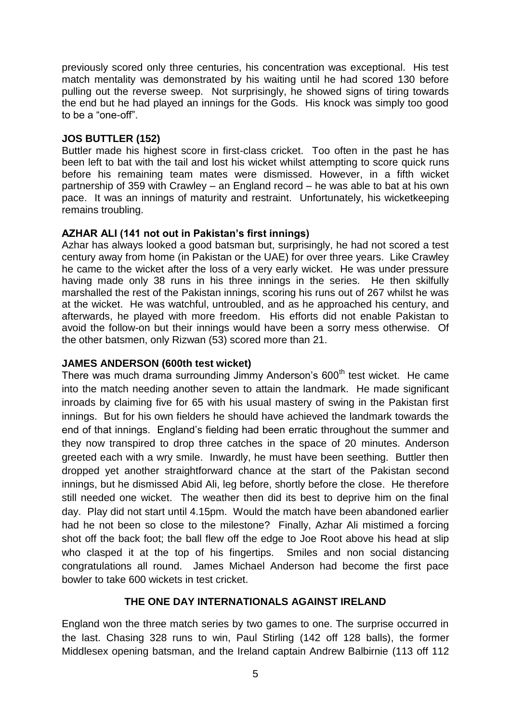previously scored only three centuries, his concentration was exceptional. His test match mentality was demonstrated by his waiting until he had scored 130 before pulling out the reverse sweep. Not surprisingly, he showed signs of tiring towards the end but he had played an innings for the Gods. His knock was simply too good to be a "one-off".

#### **JOS BUTTLER (152)**

Buttler made his highest score in first-class cricket. Too often in the past he has been left to bat with the tail and lost his wicket whilst attempting to score quick runs before his remaining team mates were dismissed. However, in a fifth wicket partnership of 359 with Crawley – an England record – he was able to bat at his own pace. It was an innings of maturity and restraint. Unfortunately, his wicketkeeping remains troubling.

#### **AZHAR ALI (141 not out in Pakistan's first innings)**

Azhar has always looked a good batsman but, surprisingly, he had not scored a test century away from home (in Pakistan or the UAE) for over three years. Like Crawley he came to the wicket after the loss of a very early wicket. He was under pressure having made only 38 runs in his three innings in the series. He then skilfully marshalled the rest of the Pakistan innings, scoring his runs out of 267 whilst he was at the wicket. He was watchful, untroubled, and as he approached his century, and afterwards, he played with more freedom. His efforts did not enable Pakistan to avoid the follow-on but their innings would have been a sorry mess otherwise. Of the other batsmen, only Rizwan (53) scored more than 21.

#### **JAMES ANDERSON (600th test wicket)**

There was much drama surrounding Jimmy Anderson's  $600<sup>th</sup>$  test wicket. He came into the match needing another seven to attain the landmark. He made significant inroads by claiming five for 65 with his usual mastery of swing in the Pakistan first innings. But for his own fielders he should have achieved the landmark towards the end of that innings. England's fielding had been erratic throughout the summer and they now transpired to drop three catches in the space of 20 minutes. Anderson greeted each with a wry smile. Inwardly, he must have been seething. Buttler then dropped yet another straightforward chance at the start of the Pakistan second innings, but he dismissed Abid Ali, leg before, shortly before the close. He therefore still needed one wicket. The weather then did its best to deprive him on the final day. Play did not start until 4.15pm. Would the match have been abandoned earlier had he not been so close to the milestone? Finally, Azhar Ali mistimed a forcing shot off the back foot; the ball flew off the edge to Joe Root above his head at slip who clasped it at the top of his fingertips. Smiles and non social distancing congratulations all round. James Michael Anderson had become the first pace bowler to take 600 wickets in test cricket.

#### **THE ONE DAY INTERNATIONALS AGAINST IRELAND**

England won the three match series by two games to one. The surprise occurred in the last. Chasing 328 runs to win, Paul Stirling (142 off 128 balls), the former Middlesex opening batsman, and the Ireland captain Andrew Balbirnie (113 off 112